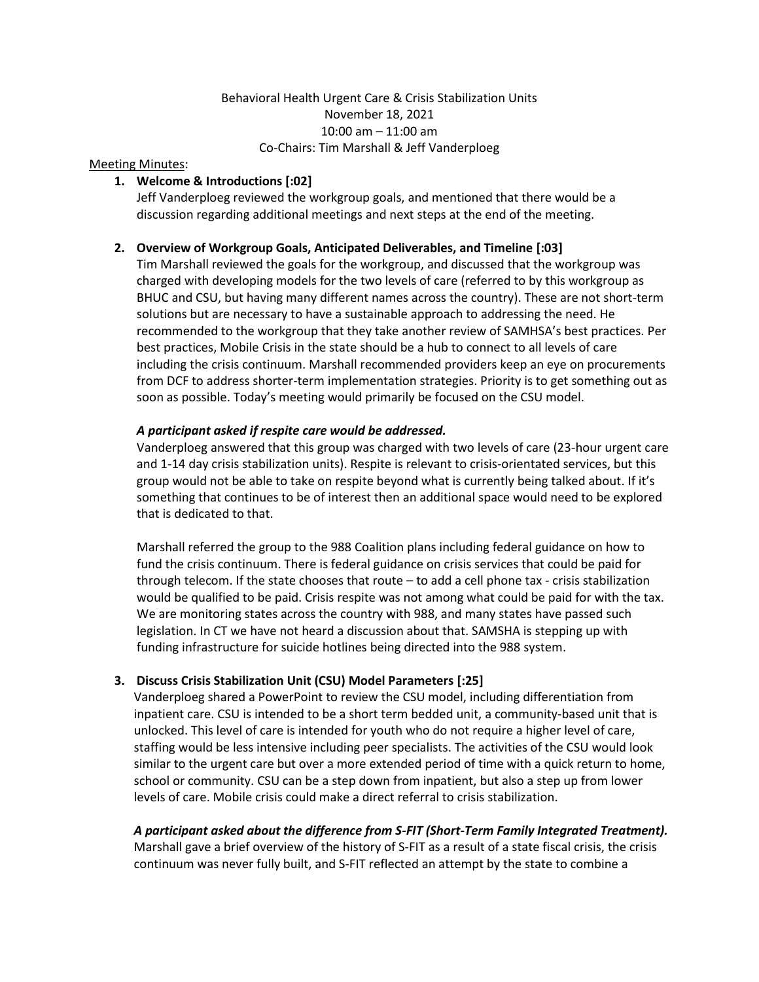## Behavioral Health Urgent Care & Crisis Stabilization Units November 18, 2021 10:00 am – 11:00 am Co-Chairs: Tim Marshall & Jeff Vanderploeg

#### Meeting Minutes:

#### **1. Welcome & Introductions [:02]**

Jeff Vanderploeg reviewed the workgroup goals, and mentioned that there would be a discussion regarding additional meetings and next steps at the end of the meeting.

#### **2. Overview of Workgroup Goals, Anticipated Deliverables, and Timeline [:03]**

Tim Marshall reviewed the goals for the workgroup, and discussed that the workgroup was charged with developing models for the two levels of care (referred to by this workgroup as BHUC and CSU, but having many different names across the country). These are not short-term solutions but are necessary to have a sustainable approach to addressing the need. He recommended to the workgroup that they take another review of SAMHSA's best practices. Per best practices, Mobile Crisis in the state should be a hub to connect to all levels of care including the crisis continuum. Marshall recommended providers keep an eye on procurements from DCF to address shorter-term implementation strategies. Priority is to get something out as soon as possible. Today's meeting would primarily be focused on the CSU model.

#### *A participant asked if respite care would be addressed.*

Vanderploeg answered that this group was charged with two levels of care (23-hour urgent care and 1-14 day crisis stabilization units). Respite is relevant to crisis-orientated services, but this group would not be able to take on respite beyond what is currently being talked about. If it's something that continues to be of interest then an additional space would need to be explored that is dedicated to that.

Marshall referred the group to the 988 Coalition plans including federal guidance on how to fund the crisis continuum. There is federal guidance on crisis services that could be paid for through telecom. If the state chooses that route – to add a cell phone tax - crisis stabilization would be qualified to be paid. Crisis respite was not among what could be paid for with the tax. We are monitoring states across the country with 988, and many states have passed such legislation. In CT we have not heard a discussion about that. SAMSHA is stepping up with funding infrastructure for suicide hotlines being directed into the 988 system.

### **3. Discuss Crisis Stabilization Unit (CSU) Model Parameters [:25]**

Vanderploeg shared a PowerPoint to review the CSU model, including differentiation from inpatient care. CSU is intended to be a short term bedded unit, a community-based unit that is unlocked. This level of care is intended for youth who do not require a higher level of care, staffing would be less intensive including peer specialists. The activities of the CSU would look similar to the urgent care but over a more extended period of time with a quick return to home, school or community. CSU can be a step down from inpatient, but also a step up from lower levels of care. Mobile crisis could make a direct referral to crisis stabilization.

# *A participant asked about the difference from S-FIT (Short-Term Family Integrated Treatment).*

Marshall gave a brief overview of the history of S-FIT as a result of a state fiscal crisis, the crisis continuum was never fully built, and S-FIT reflected an attempt by the state to combine a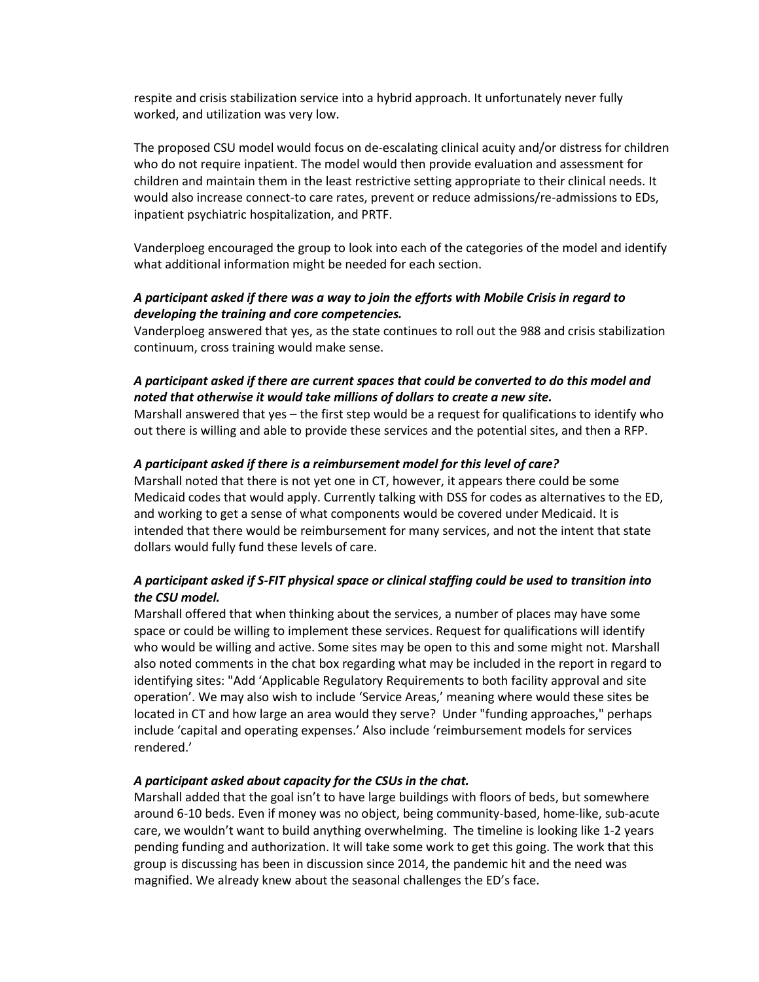respite and crisis stabilization service into a hybrid approach. It unfortunately never fully worked, and utilization was very low.

The proposed CSU model would focus on de-escalating clinical acuity and/or distress for children who do not require inpatient. The model would then provide evaluation and assessment for children and maintain them in the least restrictive setting appropriate to their clinical needs. It would also increase connect-to care rates, prevent or reduce admissions/re-admissions to EDs, inpatient psychiatric hospitalization, and PRTF.

Vanderploeg encouraged the group to look into each of the categories of the model and identify what additional information might be needed for each section.

## *A participant asked if there was a way to join the efforts with Mobile Crisis in regard to developing the training and core competencies.*

Vanderploeg answered that yes, as the state continues to roll out the 988 and crisis stabilization continuum, cross training would make sense.

## *A participant asked if there are current spaces that could be converted to do this model and noted that otherwise it would take millions of dollars to create a new site.*

Marshall answered that yes – the first step would be a request for qualifications to identify who out there is willing and able to provide these services and the potential sites, and then a RFP.

#### *A participant asked if there is a reimbursement model for this level of care?*

Marshall noted that there is not yet one in CT, however, it appears there could be some Medicaid codes that would apply. Currently talking with DSS for codes as alternatives to the ED, and working to get a sense of what components would be covered under Medicaid. It is intended that there would be reimbursement for many services, and not the intent that state dollars would fully fund these levels of care.

## *A participant asked if S-FIT physical space or clinical staffing could be used to transition into the CSU model.*

Marshall offered that when thinking about the services, a number of places may have some space or could be willing to implement these services. Request for qualifications will identify who would be willing and active. Some sites may be open to this and some might not. Marshall also noted comments in the chat box regarding what may be included in the report in regard to identifying sites: "Add 'Applicable Regulatory Requirements to both facility approval and site operation'. We may also wish to include 'Service Areas,' meaning where would these sites be located in CT and how large an area would they serve? Under "funding approaches," perhaps include 'capital and operating expenses.' Also include 'reimbursement models for services rendered.'

#### *A participant asked about capacity for the CSUs in the chat.*

Marshall added that the goal isn't to have large buildings with floors of beds, but somewhere around 6-10 beds. Even if money was no object, being community-based, home-like, sub-acute care, we wouldn't want to build anything overwhelming. The timeline is looking like 1-2 years pending funding and authorization. It will take some work to get this going. The work that this group is discussing has been in discussion since 2014, the pandemic hit and the need was magnified. We already knew about the seasonal challenges the ED's face.